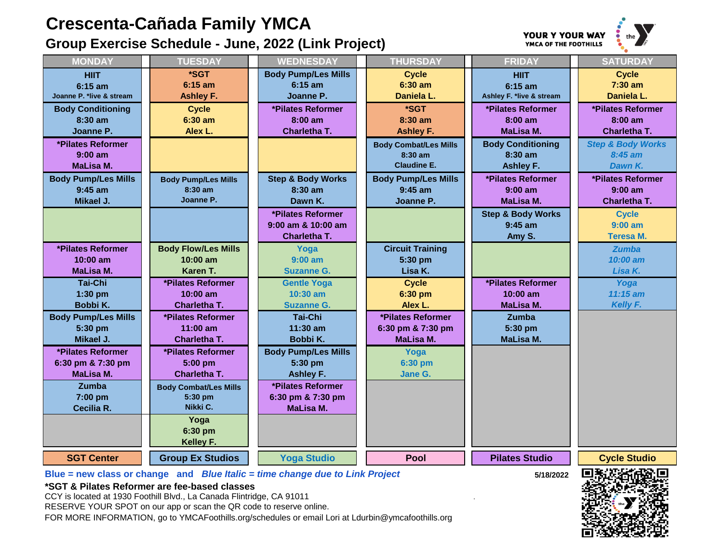## **Crescenta-Cañada Family YMCA**

**Group Exercise Schedule - June, 2022 (Link Project)**



| <b>MONDAY</b>            | <b>TUESDAY</b>               | <b>WEDNESDAY</b>             | <b>THURSDAY</b>              | <b>FRIDAY</b>                | <b>SATURDAY</b>              |
|--------------------------|------------------------------|------------------------------|------------------------------|------------------------------|------------------------------|
| <b>HIIT</b>              | *SGT                         | <b>Body Pump/Les Mills</b>   | <b>Cycle</b>                 | <b>HIIT</b>                  | <b>Cycle</b>                 |
| $6:15$ am                | $6:15$ am                    | $6:15$ am                    | $6:30$ am                    | $6:15$ am                    | $7:30$ am                    |
| loanne P. *live & stream | <b>Ashley F.</b>             | Joanne P.                    | Daniela L.                   | Ashley F. *live & stream     | Daniela L.                   |
| <b>Body Conditioning</b> | <b>Cycle</b>                 | *Pilates Reformer            | *SGT                         | *Pilates Reformer            | *Pilates Reformer            |
| $8:30$ am                | $6:30$ am                    | $8:00$ am                    | $8:30$ am                    | $8:00$ am                    | $8:00$ am                    |
| Joanne P.                | Alex L.                      | Charletha T.                 | <b>Ashley F.</b>             | <b>MaLisa M.</b>             | <b>Charletha T.</b>          |
| *Pilates Reformer        |                              |                              | <b>Body Combat/Les Mills</b> | <b>Body Conditioning</b>     | <b>Step &amp; Body Works</b> |
| $9:00$ am                |                              |                              | $8:30$ am                    | $8:30$ am                    | $8:45$ am                    |
| MaLisa M.                |                              |                              | <b>Claudine E.</b>           | <b>Ashley F.</b>             | Dawn K.                      |
| ody Pump/Les Mills       | <b>Body Pump/Les Mills</b>   | <b>Step &amp; Body Works</b> | <b>Body Pump/Les Mills</b>   | *Pilates Reformer            | *Pilates Reformer            |
| $9:45$ am                | 8:30 am                      | $8:30$ am                    | $9:45$ am                    | $9:00$ am                    | $9:00$ am                    |
| Mikael J.                | Joanne P.                    | Dawn K.                      | Joanne P.                    | <b>MaLisa M.</b>             | Charletha T.                 |
|                          |                              | *Pilates Reformer            |                              | <b>Step &amp; Body Works</b> | <b>Cycle</b>                 |
|                          |                              | 9:00 am & 10:00 am           |                              | $9:45$ am                    | $9:00$ am                    |
|                          |                              | Charletha T.                 |                              | Amy S.                       | <b>Teresa M.</b>             |
| *Pilates Reformer        | <b>Body Flow/Les Mills</b>   | Yoga                         | <b>Circuit Training</b>      |                              | <b>Zumba</b>                 |
| $10:00$ am               | $10:00$ am                   | $9:00$ am                    | 5:30 pm                      |                              | 10:00 am                     |
| <b>MaLisa M.</b>         | Karen T.                     | <b>Suzanne G.</b>            | Lisa K.                      |                              | Lisa K.                      |
| Tai-Chi                  | *Pilates Reformer            | <b>Gentle Yoga</b>           | <b>Cycle</b>                 | *Pilates Reformer            | Yoga                         |
| $1:30$ pm                | $10:00$ am                   | $10:30$ am                   | 6:30 pm                      | $10:00$ am                   | $11:15$ am                   |
| Bobbi K.                 | Charletha T.                 | <b>Suzanne G.</b>            | Alex L.                      | <b>MaLisa M.</b>             | Kelly F.                     |
| ody Pump/Les Mills       | *Pilates Reformer            | <b>Tai-Chi</b>               | *Pilates Reformer            | <b>Zumba</b>                 |                              |
| 5:30 pm                  | $11:00$ am                   | $11:30$ am                   | 6:30 pm & 7:30 pm            | 5:30 pm                      |                              |
| Mikael J.                | Charletha T.                 | Bobbi K.                     | <b>MaLisa M.</b>             | MaLisa M.                    |                              |
| *Pilates Reformer        | *Pilates Reformer            | <b>Body Pump/Les Mills</b>   | Yoga                         |                              |                              |
| 6:30 pm & 7:30 pm        | $5:00$ pm                    | 5:30 pm                      | 6:30 pm                      |                              |                              |
| <b>MaLisa M.</b>         | Charletha T.                 | <b>Ashley F.</b>             | Jane G.                      |                              |                              |
| Zumba                    | <b>Body Combat/Les Mills</b> | *Pilates Reformer            |                              |                              |                              |
| 7:00 pm                  | 5:30 pm                      | 6:30 pm & 7:30 pm            |                              |                              |                              |
| Cecilia R.               | Nikki C.                     | <b>MaLisa M.</b>             |                              |                              |                              |
|                          | Yoga                         |                              |                              |                              |                              |
|                          | 6:30 pm                      |                              |                              |                              |                              |
|                          | Kelley F.                    |                              |                              |                              |                              |
|                          |                              |                              |                              |                              |                              |

**Joanne** 

**Body** 

**Body P** 

**Body P** 

6:30 p

**SGT Center Group Ex Studios Yoga Studio Pool Pilates Studio Cycle Studio**



**Blue = new class or change and** *Blue Italic = time change due to Link Project* **5/18/2022 \*SGT & Pilates Reformer are fee-based classes**

CCY is located at 1930 Foothill Blvd., La Canada Flintridge, CA 91011 .

RESERVE YOUR SPOT on our app or scan the QR code to reserve online.

FOR MORE INFORMATION, go to YMCAFoothills.org/schedules or email Lori at Ldurbin@ymcafoothills.org